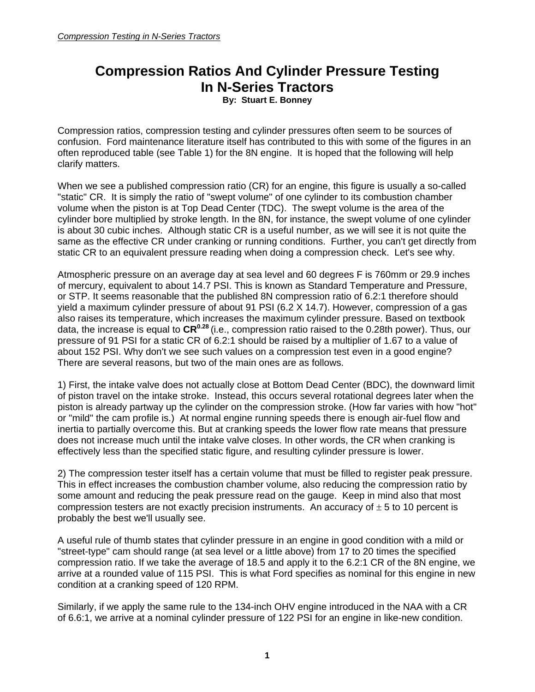## **Compression Ratios And Cylinder Pressure Testing In N-Series Tractors**

**By: Stuart E. Bonney** 

Compression ratios, compression testing and cylinder pressures often seem to be sources of confusion. Ford maintenance literature itself has contributed to this with some of the figures in an often reproduced table (see Table 1) for the 8N engine. It is hoped that the following will help clarify matters.

When we see a published compression ratio (CR) for an engine, this figure is usually a so-called "static" CR. It is simply the ratio of "swept volume" of one cylinder to its combustion chamber volume when the piston is at Top Dead Center (TDC). The swept volume is the area of the cylinder bore multiplied by stroke length. In the 8N, for instance, the swept volume of one cylinder is about 30 cubic inches. Although static CR is a useful number, as we will see it is not quite the same as the effective CR under cranking or running conditions. Further, you can't get directly from static CR to an equivalent pressure reading when doing a compression check. Let's see why.

Atmospheric pressure on an average day at sea level and 60 degrees F is 760mm or 29.9 inches of mercury, equivalent to about 14.7 PSI. This is known as Standard Temperature and Pressure, or STP. It seems reasonable that the published 8N compression ratio of 6.2:1 therefore should yield a maximum cylinder pressure of about 91 PSI (6.2 X 14.7). However, compression of a gas also raises its temperature, which increases the maximum cylinder pressure. Based on textbook data, the increase is equal to  $\text{CR}^{0.28}$  (i.e., compression ratio raised to the 0.28th power). Thus, our pressure of 91 PSI for a static CR of 6.2:1 should be raised by a multiplier of 1.67 to a value of about 152 PSI. Why don't we see such values on a compression test even in a good engine? There are several reasons, but two of the main ones are as follows.

1) First, the intake valve does not actually close at Bottom Dead Center (BDC), the downward limit of piston travel on the intake stroke. Instead, this occurs several rotational degrees later when the piston is already partway up the cylinder on the compression stroke. (How far varies with how "hot" or "mild" the cam profile is.) At normal engine running speeds there is enough air-fuel flow and inertia to partially overcome this. But at cranking speeds the lower flow rate means that pressure does not increase much until the intake valve closes. In other words, the CR when cranking is effectively less than the specified static figure, and resulting cylinder pressure is lower.

2) The compression tester itself has a certain volume that must be filled to register peak pressure. This in effect increases the combustion chamber volume, also reducing the compression ratio by some amount and reducing the peak pressure read on the gauge. Keep in mind also that most compression testers are not exactly precision instruments. An accuracy of  $\pm$  5 to 10 percent is probably the best we'll usually see.

A useful rule of thumb states that cylinder pressure in an engine in good condition with a mild or "street-type" cam should range (at sea level or a little above) from 17 to 20 times the specified compression ratio. If we take the average of 18.5 and apply it to the 6.2:1 CR of the 8N engine, we arrive at a rounded value of 115 PSI. This is what Ford specifies as nominal for this engine in new condition at a cranking speed of 120 RPM.

Similarly, if we apply the same rule to the 134-inch OHV engine introduced in the NAA with a CR of 6.6:1, we arrive at a nominal cylinder pressure of 122 PSI for an engine in like-new condition.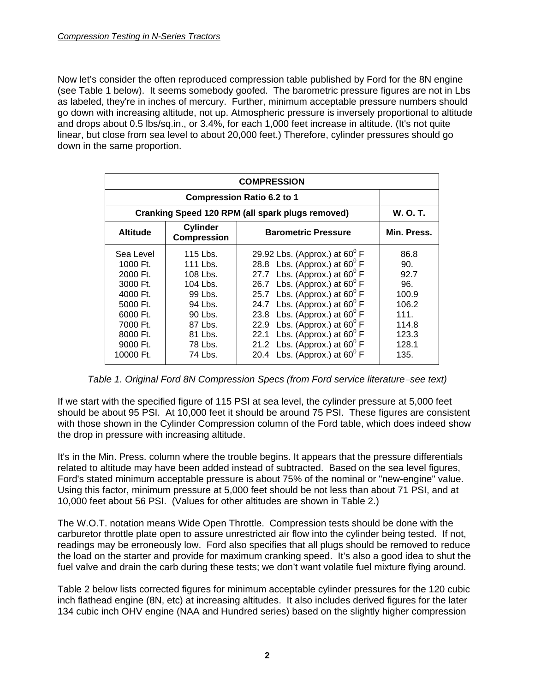Now let's consider the often reproduced compression table published by Ford for the 8N engine (see Table 1 below). It seems somebody goofed. The barometric pressure figures are not in Lbs as labeled, they're in inches of mercury. Further, minimum acceptable pressure numbers should go down with increasing altitude, not up. Atmospheric pressure is inversely proportional to altitude and drops about 0.5 lbs/sq.in., or 3.4%, for each 1,000 feet increase in altitude. (It's not quite linear, but close from sea level to about 20,000 feet.) Therefore, cylinder pressures should go down in the same proportion.

| <b>COMPRESSION</b>                                                                                                                 |                                                                                                                           |                                                                                                                                                                                                                                                                                                                                                                                                                                                                                    |                                                                                         |  |  |  |
|------------------------------------------------------------------------------------------------------------------------------------|---------------------------------------------------------------------------------------------------------------------------|------------------------------------------------------------------------------------------------------------------------------------------------------------------------------------------------------------------------------------------------------------------------------------------------------------------------------------------------------------------------------------------------------------------------------------------------------------------------------------|-----------------------------------------------------------------------------------------|--|--|--|
|                                                                                                                                    |                                                                                                                           |                                                                                                                                                                                                                                                                                                                                                                                                                                                                                    |                                                                                         |  |  |  |
| Cranking Speed 120 RPM (all spark plugs removed)                                                                                   | <b>W. O. T.</b>                                                                                                           |                                                                                                                                                                                                                                                                                                                                                                                                                                                                                    |                                                                                         |  |  |  |
| <b>Altitude</b>                                                                                                                    | <b>Cylinder</b><br><b>Compression</b>                                                                                     | <b>Barometric Pressure</b>                                                                                                                                                                                                                                                                                                                                                                                                                                                         | Min. Press.                                                                             |  |  |  |
| Sea Level<br>1000 Ft.<br>2000 Ft.<br>3000 Ft.<br>4000 Ft.<br>5000 Ft.<br>6000 Ft.<br>7000 Ft.<br>8000 Ft.<br>9000 Ft.<br>10000 Ft. | 115 Lbs.<br>111 Lbs.<br>108 Lbs.<br>104 Lbs.<br>99 Lbs.<br>94 Lbs.<br>90 Lbs.<br>87 Lbs.<br>81 Lbs.<br>78 Lbs.<br>74 Lbs. | 29.92 Lbs. (Approx.) at $60^{\circ}$ F<br>28.8 Lbs. (Approx.) at $60^{\circ}$ F<br>27.7 Lbs. (Approx.) at $60^{\circ}$ F<br>26.7 Lbs. (Approx.) at $60^{\circ}$ F<br>25.7 Lbs. (Approx.) at $60^{\circ}$ F<br>Lbs. (Approx.) at 60 $^{\circ}$ F<br>24.7<br>Lbs. (Approx.) at 60 $^{\rm o}$ F<br>23.8<br>Lbs. (Approx.) at $60^{\circ}$ F<br>22.9<br>Lbs. (Approx.) at 60 $^{\rm o}$ F<br>22.1<br>21.2 Lbs. (Approx.) at $60^{\circ}$ F<br>Lbs. (Approx.) at $60^{\circ}$ F<br>20.4 | 86.8<br>90.<br>92.7<br>96.<br>100.9<br>106.2<br>111.<br>114.8<br>123.3<br>128.1<br>135. |  |  |  |

*Table 1. Original Ford 8N Compression Specs (from Ford service literature*−*see text)* 

If we start with the specified figure of 115 PSI at sea level, the cylinder pressure at 5,000 feet should be about 95 PSI. At 10,000 feet it should be around 75 PSI. These figures are consistent with those shown in the Cylinder Compression column of the Ford table, which does indeed show the drop in pressure with increasing altitude.

It's in the Min. Press. column where the trouble begins. It appears that the pressure differentials related to altitude may have been added instead of subtracted. Based on the sea level figures, Ford's stated minimum acceptable pressure is about 75% of the nominal or "new-engine" value. Using this factor, minimum pressure at 5,000 feet should be not less than about 71 PSI, and at 10,000 feet about 56 PSI. (Values for other altitudes are shown in Table 2.)

The W.O.T. notation means Wide Open Throttle. Compression tests should be done with the carburetor throttle plate open to assure unrestricted air flow into the cylinder being tested. If not, readings may be erroneously low. Ford also specifies that all plugs should be removed to reduce the load on the starter and provide for maximum cranking speed. It's also a good idea to shut the fuel valve and drain the carb during these tests; we don't want volatile fuel mixture flying around.

Table 2 below lists corrected figures for minimum acceptable cylinder pressures for the 120 cubic inch flathead engine (8N, etc) at increasing altitudes. It also includes derived figures for the later 134 cubic inch OHV engine (NAA and Hundred series) based on the slightly higher compression